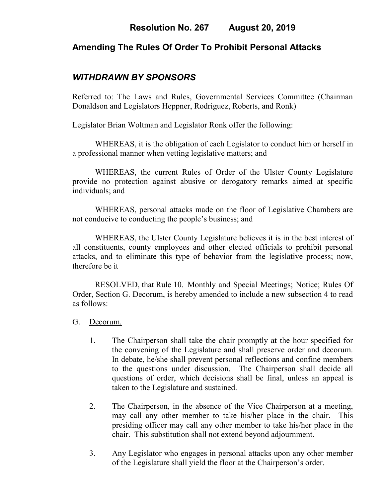# **Amending The Rules Of Order To Prohibit Personal Attacks**

# *WITHDRAWN BY SPONSORS*

Referred to: The Laws and Rules, Governmental Services Committee (Chairman Donaldson and Legislators Heppner, Rodriguez, Roberts, and Ronk)

Legislator Brian Woltman and Legislator Ronk offer the following:

WHEREAS, it is the obligation of each Legislator to conduct him or herself in a professional manner when vetting legislative matters; and

WHEREAS, the current Rules of Order of the Ulster County Legislature provide no protection against abusive or derogatory remarks aimed at specific individuals; and

WHEREAS, personal attacks made on the floor of Legislative Chambers are not conducive to conducting the people's business; and

WHEREAS, the Ulster County Legislature believes it is in the best interest of all constituents, county employees and other elected officials to prohibit personal attacks, and to eliminate this type of behavior from the legislative process; now, therefore be it

RESOLVED, that Rule 10. Monthly and Special Meetings; Notice; Rules Of Order, Section G. Decorum, is hereby amended to include a new subsection 4 to read as follows:

- G.Decorum.
	- 1. The Chairperson shall take the chair promptly at the hour specified for the convening of the Legislature and shall preserve order and decorum. In debate, he/she shall prevent personal reflections and confine members to the questions under discussion. The Chairperson shall decide all questions of order, which decisions shall be final, unless an appeal is taken to the Legislature and sustained.
	- 2. The Chairperson, in the absence of the Vice Chairperson at a meeting, may call any other member to take his/her place in the chair. This presiding officer may call any other member to take his/her place in the chair. This substitution shall not extend beyond adjournment.
	- 3. Any Legislator who engages in personal attacks upon any other member of the Legislature shall yield the floor at the Chairperson's order.